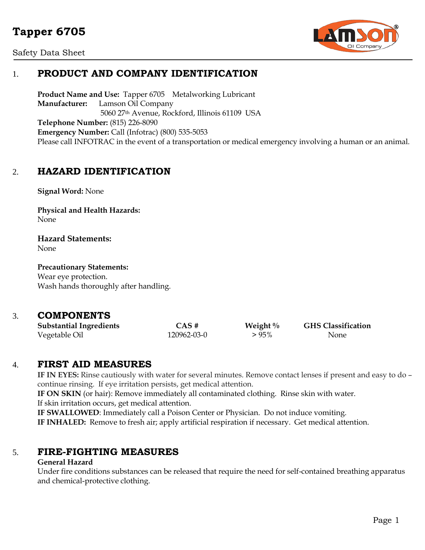# **Tapper 6705**

Safety Data Sheet



## 1. **PRODUCT AND COMPANY IDENTIFICATION**

**Product Name and Use:** Tapper 6705 Metalworking Lubricant **Manufacturer:** Lamson Oil Company 5060 27th Avenue, Rockford, Illinois 61109 USA **Telephone Number:** (815) 226-8090 **Emergency Number:** Call (Infotrac) (800) 535-5053 Please call INFOTRAC in the event of a transportation or medical emergency involving a human or an animal.

### 2. **HAZARD IDENTIFICATION**

**Signal Word:** None

**Physical and Health Hazards:** None

**Hazard Statements:** None

**Precautionary Statements:** Wear eye protection. Wash hands thoroughly after handling.

### 3. **COMPONENTS**

| <b>Substantial Ingredients</b> | $CAS \#$    | Weight $\%$ | <b>GHS Classification</b> |
|--------------------------------|-------------|-------------|---------------------------|
| Vegetable Oil                  | 120962-03-0 | $>95\%$     | None                      |

### 4. **FIRST AID MEASURES**

**IF IN EYES:** Rinse cautiously with water for several minutes. Remove contact lenses if present and easy to do – continue rinsing. If eye irritation persists, get medical attention. **IF ON SKIN** (or hair): Remove immediately all contaminated clothing. Rinse skin with water.

If skin irritation occurs, get medical attention. **IF SWALLOWED**: Immediately call a Poison Center or Physician. Do not induce vomiting. **IF INHALED:** Remove to fresh air; apply artificial respiration if necessary. Get medical attention.

### 5. **FIRE-FIGHTING MEASURES**

#### **General Hazard**

Under fire conditions substances can be released that require the need for self-contained breathing apparatus and chemical-protective clothing.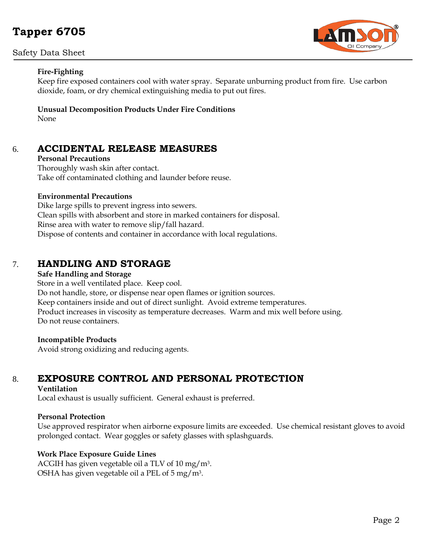# **Tapper 6705**

### Safety Data Sheet



#### **Fire-Fighting**

Keep fire exposed containers cool with water spray. Separate unburning product from fire. Use carbon dioxide, foam, or dry chemical extinguishing media to put out fires.

#### **Unusual Decomposition Products Under Fire Conditions** None

### 6. **ACCIDENTAL RELEASE MEASURES**

**Personal Precautions** Thoroughly wash skin after contact. Take off contaminated clothing and launder before reuse.

#### **Environmental Precautions**

Dike large spills to prevent ingress into sewers. Clean spills with absorbent and store in marked containers for disposal. Rinse area with water to remove slip/fall hazard. Dispose of contents and container in accordance with local regulations.

### 7. **HANDLING AND STORAGE**

#### **Safe Handling and Storage**

Store in a well ventilated place. Keep cool. Do not handle, store, or dispense near open flames or ignition sources. Keep containers inside and out of direct sunlight. Avoid extreme temperatures. Product increases in viscosity as temperature decreases. Warm and mix well before using. Do not reuse containers.

#### **Incompatible Products**

Avoid strong oxidizing and reducing agents.

# 8. **EXPOSURE CONTROL AND PERSONAL PROTECTION**

#### **Ventilation**

Local exhaust is usually sufficient. General exhaust is preferred.

#### **Personal Protection**

Use approved respirator when airborne exposure limits are exceeded. Use chemical resistant gloves to avoid prolonged contact. Wear goggles or safety glasses with splashguards.

#### **Work Place Exposure Guide Lines**

ACGIH has given vegetable oil a TLV of 10 mg/m3. OSHA has given vegetable oil a PEL of 5 mg/m3.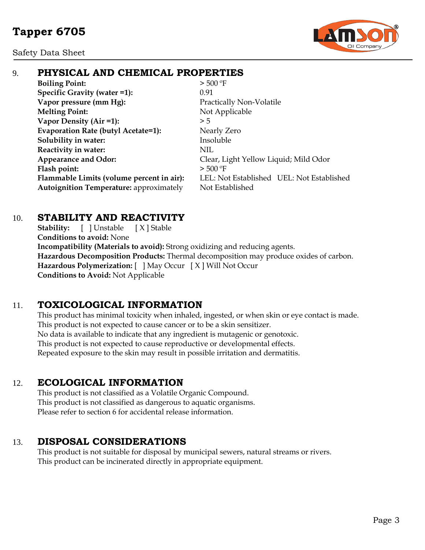Safety Data Sheet



## 9. **PHYSICAL AND CHEMICAL PROPERTIES**

**Boiling Point:**  $> 500 °F$ **Specific Gravity (water =1):** 0.91 **Vapor pressure (mm Hg):** Practically Non-Volatile **Melting Point:** Not Applicable **Vapor Density (Air =1):**  $> 5$ **Evaporation Rate (butyl Acetate=1):** Nearly Zero **Solubility in water:** Insoluble **Reactivity in water:** NIL **Appearance and Odor:** Clear, Light Yellow Liquid; Mild Odor Flash point:  $>500 °F$ Autoignition Temperature: approximately Not Established

**Flammable Limits (volume percent in air):** LEL: Not Established UEL: Not Established

### 10. **STABILITY AND REACTIVITY**

**Stability:** [ ] Unstable [ X ] Stable **Conditions to avoid:** None **Incompatibility (Materials to avoid):** Strong oxidizing and reducing agents. **Hazardous Decomposition Products:** Thermal decomposition may produce oxides of carbon. **Hazardous Polymerization:** [ ] May Occur [ X ] Will Not Occur **Conditions to Avoid:** Not Applicable

# 11. **TOXICOLOGICAL INFORMATION**

This product has minimal toxicity when inhaled, ingested, or when skin or eye contact is made. This product is not expected to cause cancer or to be a skin sensitizer. No data is available to indicate that any ingredient is mutagenic or genotoxic. This product is not expected to cause reproductive or developmental effects. Repeated exposure to the skin may result in possible irritation and dermatitis.

# 12. **ECOLOGICAL INFORMATION**

This product is not classified as a Volatile Organic Compound. This product is not classified as dangerous to aquatic organisms. Please refer to section 6 for accidental release information.

# 13. **DISPOSAL CONSIDERATIONS**

This product is not suitable for disposal by municipal sewers, natural streams or rivers. This product can be incinerated directly in appropriate equipment.